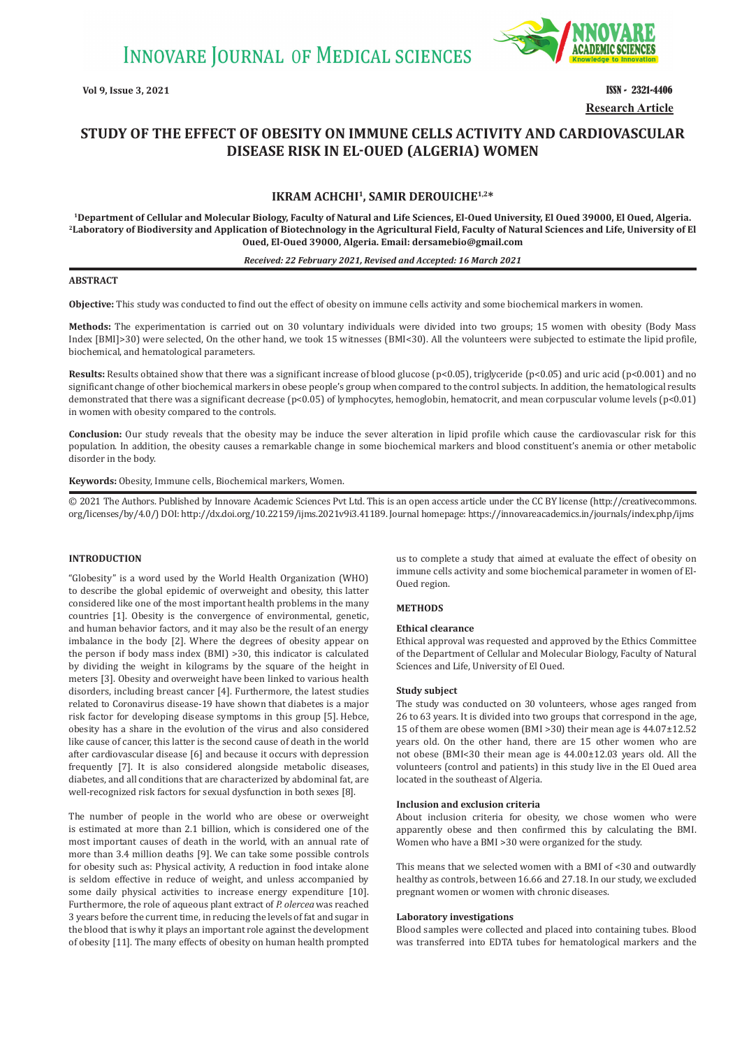

**Vol 9, Issue 3, 2021 ISSN - 2321-4406 Research Article**

# **STUDY OF THE EFFECT OF OBESITY ON IMMUNE CELLS ACTIVITY AND CARDIOVASCULAR DISEASE RISK IN EL-OUED (ALGERIA) WOMEN**

# **IKRAM ACHCHI1, SAMIR DEROUICHE1,2\***

**1Department of Cellular and Molecular Biology, Faculty of Natural and Life Sciences, El-Oued University, El Oued 39000, El Oued, Algeria. 2Laboratory of Biodiversity and Application of Biotechnology in the Agricultural Field, Faculty of Natural Sciences and Life, University of El Oued, El-Oued 39000, Algeria. Email: dersamebio@gmail.com**

#### *Received: 22 February 2021, Revised and Accepted: 16 March 2021*

# **ABSTRACT**

**Objective:** This study was conducted to find out the effect of obesity on immune cells activity and some biochemical markers in women.

**Methods:** The experimentation is carried out on 30 voluntary individuals were divided into two groups; 15 women with obesity (Body Mass Index [BMI]>30) were selected, On the other hand, we took 15 witnesses (BMI<30). All the volunteers were subjected to estimate the lipid profile, biochemical, and hematological parameters.

**Results:** Results obtained show that there was a significant increase of blood glucose (p<0.05), triglyceride (p<0.05) and uric acid (p<0.001) and no significant change of other biochemical markers in obese people's group when compared to the control subjects. In addition, the hematological results demonstrated that there was a significant decrease ( $p<0.05$ ) of lymphocytes, hemoglobin, hematocrit, and mean corpuscular volume levels ( $p<0.01$ ) in women with obesity compared to the controls.

**Conclusion:** Our study reveals that the obesity may be induce the sever alteration in lipid profile which cause the cardiovascular risk for this population. In addition, the obesity causes a remarkable change in some biochemical markers and blood constituent's anemia or other metabolic disorder in the body.

**Keywords:** Obesity, Immune cells, Biochemical markers, Women.

© 2021 The Authors. Published by Innovare Academic Sciences Pvt Ltd. This is an open access article under the CC BY license (http://creativecommons. org/licenses/by/4.0/) DOI: http://dx.doi.org/10.22159/ijms.2021v9i3.41189. Journal homepage: https://innovareacademics.in/journals/index.php/ijms

## **INTRODUCTION**

"Globesity" is a word used by the World Health Organization (WHO) to describe the global epidemic of overweight and obesity, this latter considered like one of the most important health problems in the many countries [1]. Obesity is the convergence of environmental, genetic, and human behavior factors, and it may also be the result of an energy imbalance in the body [2]. Where the degrees of obesity appear on the person if body mass index (BMI) >30, this indicator is calculated by dividing the weight in kilograms by the square of the height in meters [3]. Obesity and overweight have been linked to various health disorders, including breast cancer [4]. Furthermore, the latest studies related to Coronavirus disease-19 have shown that diabetes is a major risk factor for developing disease symptoms in this group [5]. Hebce, obesity has a share in the evolution of the virus and also considered like cause of cancer, this latter is the second cause of death in the world after cardiovascular disease [6] and because it occurs with depression frequently [7]. It is also considered alongside metabolic diseases, diabetes, and all conditions that are characterized by abdominal fat, are well-recognized risk factors for sexual dysfunction in both sexes [8].

The number of people in the world who are obese or overweight is estimated at more than 2.1 billion, which is considered one of the most important causes of death in the world, with an annual rate of more than 3.4 million deaths [9]. We can take some possible controls for obesity such as: Physical activity, A reduction in food intake alone is seldom effective in reduce of weight, and unless accompanied by some daily physical activities to increase energy expenditure [10]. Furthermore, the role of aqueous plant extract of *P. olercea* was reached 3 years before the current time, in reducing the levels of fat and sugar in the blood that is why it plays an important role against the development of obesity [11]. The many effects of obesity on human health prompted us to complete a study that aimed at evaluate the effect of obesity on immune cells activity and some biochemical parameter in women of El-Oued region.

# **METHODS**

### **Ethical clearance**

Ethical approval was requested and approved by the Ethics Committee of the Department of Cellular and Molecular Biology, Faculty of Natural Sciences and Life, University of El Oued.

#### **Study subject**

The study was conducted on 30 volunteers, whose ages ranged from 26 to 63 years. It is divided into two groups that correspond in the age, 15 of them are obese women (BMI >30) their mean age is 44.07±12.52 years old. On the other hand, there are 15 other women who are not obese (BMI<30 their mean age is 44.00±12.03 years old. All the volunteers (control and patients) in this study live in the El Oued area located in the southeast of Algeria.

#### **Inclusion and exclusion criteria**

About inclusion criteria for obesity, we chose women who were apparently obese and then confirmed this by calculating the BMI. Women who have a BMI >30 were organized for the study.

This means that we selected women with a BMI of <30 and outwardly healthy as controls, between 16.66 and 27.18. In our study, we excluded pregnant women or women with chronic diseases.

#### **Laboratory investigations**

Blood samples were collected and placed into containing tubes. Blood was transferred into EDTA tubes for hematological markers and the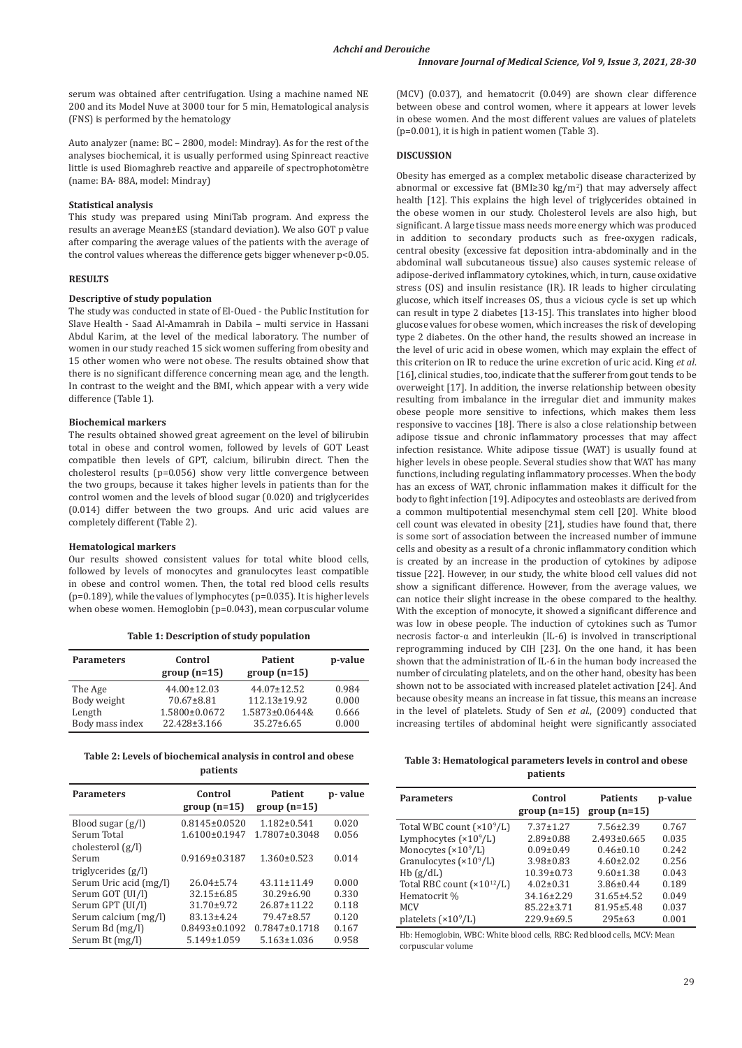serum was obtained after centrifugation. Using a machine named NE 200 and its Model Nuve at 3000 tour for 5 min, Hematological analysis (FNS) is performed by the hematology

Auto analyzer (name: BC – 2800, model: Mindray). As for the rest of the analyses biochemical, it is usually performed using Spinreact reactive little is used Biomaghreb reactive and appareile of spectrophotomètre (name: BA- 88A, model: Mindray)

#### **Statistical analysis**

This study was prepared using MiniTab program. And express the results an average Mean±ES (standard deviation). We also GOT p value after comparing the average values of the patients with the average of the control values whereas the difference gets bigger whenever p<0.05.

# **RESULTS**

#### **Descriptive of study population**

The study was conducted in state of El-Oued - the Public Institution for Slave Health - Saad Al-Amamrah in Dabila – multi service in Hassani Abdul Karim, at the level of the medical laboratory. The number of women in our study reached 15 sick women suffering from obesity and 15 other women who were not obese. The results obtained show that there is no significant difference concerning mean age, and the length. In contrast to the weight and the BMI, which appear with a very wide difference (Table 1).

# **Biochemical markers**

The results obtained showed great agreement on the level of bilirubin total in obese and control women, followed by levels of GOT Least compatible then levels of GPT, calcium, bilirubin direct. Then the cholesterol results (p=0.056) show very little convergence between the two groups, because it takes higher levels in patients than for the control women and the levels of blood sugar (0.020) and triglycerides (0.014) differ between the two groups. And uric acid values are completely different (Table 2).

#### **Hematological markers**

Our results showed consistent values for total white blood cells, followed by levels of monocytes and granulocytes least compatible in obese and control women. Then, the total red blood cells results (p=0.189), while the values of lymphocytes (p=0.035). It is higher levels when obese women. Hemoglobin (p=0.043), mean corpuscular volume

| <b>Parameters</b> | Control<br>$group(n=15)$ | Patient<br>$group(n=15)$ | p-value |
|-------------------|--------------------------|--------------------------|---------|
| The Age           | 44.00±12.03              | $44.07 \pm 12.52$        | 0.984   |
| Body weight       | $70.67 \pm 8.81$         | $112.13 \pm 19.92$       | 0.000   |
| Length            | 1.5800±0.0672            | 1.5873±0.0644&           | 0.666   |
| Body mass index   | 22.428±3.166             | 35.27±6.65               | 0.000   |

**Table 1: Description of study population**

**Table 2: Levels of biochemical analysis in control and obese patients**

| <b>Parameters</b>      | Control<br>$group(n=15)$ | <b>Patient</b><br>$group(n=15)$ | p-value |
|------------------------|--------------------------|---------------------------------|---------|
| Blood sugar $(g/l)$    | $0.8145 \pm 0.0520$      | $1.182 \pm 0.541$               | 0.020   |
| Serum Total            | $1.6100 \pm 0.1947$      | 1.7807±0.3048                   | 0.056   |
| cholesterol $(g/l)$    |                          |                                 |         |
| Serum                  | $0.9169 \pm 0.3187$      | $1.360 \pm 0.523$               | 0.014   |
| triglycerides $(g/l)$  |                          |                                 |         |
| Serum Uric acid (mg/l) | $26.04 \pm 5.74$         | $43.11 \pm 11.49$               | 0.000   |
| Serum GOT (UI/l)       | $32.15 \pm 6.85$         | $30.29 \pm 6.90$                | 0.330   |
| Serum GPT (UI/l)       | $31.70 \pm 9.72$         | $26.87 \pm 11.22$               | 0.118   |
| Serum calcium (mg/l)   | 83.13±4.24               | 79.47±8.57                      | 0.120   |
| Serum Bd (mg/l)        | $0.8493 \pm 0.1092$      | $0.7847 \pm 0.1718$             | 0.167   |
| Serum Bt (mg/l)        | $5.149 \pm 1.059$        | $5.163 \pm 1.036$               | 0.958   |

(MCV) (0.037), and hematocrit (0.049) are shown clear difference between obese and control women, where it appears at lower levels in obese women. And the most different values are values of platelets (p=0.001), it is high in patient women (Table 3).

## **DISCUSSION**

Obesity has emerged as a complex metabolic disease characterized by abnormal or excessive fat  $(BMI≥30 kg/m²)$  that may adversely affect health [12]. This explains the high level of triglycerides obtained in the obese women in our study. Cholesterol levels are also high, but significant. A large tissue mass needs more energy which was produced in addition to secondary products such as free-oxygen radicals, central obesity (excessive fat deposition intra-abdominally and in the abdominal wall subcutaneous tissue) also causes systemic release of adipose-derived inflammatory cytokines, which, in turn, cause oxidative stress (OS) and insulin resistance (IR). IR leads to higher circulating glucose, which itself increases OS, thus a vicious cycle is set up which can result in type 2 diabetes [13-15]. This translates into higher blood glucose values for obese women, which increases the risk of developing type 2 diabetes. On the other hand, the results showed an increase in the level of uric acid in obese women, which may explain the effect of this criterion on IR to reduce the urine excretion of uric acid. King *et al*. [16], clinical studies, too, indicate that the sufferer from gout tends to be overweight [17]. In addition, the inverse relationship between obesity resulting from imbalance in the irregular diet and immunity makes obese people more sensitive to infections, which makes them less responsive to vaccines [18]. There is also a close relationship between adipose tissue and chronic inflammatory processes that may affect infection resistance. White adipose tissue (WAT) is usually found at higher levels in obese people. Several studies show that WAT has many functions, including regulating inflammatory processes. When the body has an excess of WAT, chronic inflammation makes it difficult for the body to fight infection [19]. Adipocytes and osteoblasts are derived from a common multipotential mesenchymal stem cell [20]. White blood cell count was elevated in obesity [21], studies have found that, there is some sort of association between the increased number of immune cells and obesity as a result of a chronic inflammatory condition which is created by an increase in the production of cytokines by adipose tissue [22]. However, in our study, the white blood cell values did not show a significant difference. However, from the average values, we can notice their slight increase in the obese compared to the healthy. With the exception of monocyte, it showed a significant difference and was low in obese people. The induction of cytokines such as Tumor necrosis factor-α and interleukin (IL-6) is involved in transcriptional reprogramming induced by CIH [23]. On the one hand, it has been shown that the administration of IL-6 in the human body increased the number of circulating platelets, and on the other hand, obesity has been shown not to be associated with increased platelet activation [24]. And because obesity means an increase in fat tissue, this means an increase in the level of platelets. Study of Sen *et al*., (2009) conducted that increasing tertiles of abdominal height were significantly associated

**Table 3: Hematological parameters levels in control and obese patients**

| <b>Parameters</b>                  | Control<br>$group(n=15)$ | <b>Patients</b><br>$group(n=15)$ | p-value |
|------------------------------------|--------------------------|----------------------------------|---------|
| Total WBC count $(\times 10^9$ /L) | $7.37 \pm 1.27$          | $7.56 \pm 2.39$                  | 0.767   |
| Lymphocytes $(\times 10^9/L)$      | $2.89 \pm 0.88$          | $2.493 \pm 0.665$                | 0.035   |
| Monocytes $(*109/L)$               | $0.09 \pm 0.49$          | $0.46 \pm 0.10$                  | 0.242   |
| Granulocytes $(\times 10^9/L)$     | $3.98 \pm 0.83$          | $4.60 \pm 2.02$                  | 0.256   |
| Hb(g/dL)                           | $10.39 \pm 0.73$         | $9.60 \pm 1.38$                  | 0.043   |
| Total RBC count $(x10^{12}/L)$     | $4.02 \pm 0.31$          | $3.86 \pm 0.44$                  | 0.189   |
| Hematocrit %                       | 34.16±2.29               | $31.65 \pm 4.52$                 | 0.049   |
| <b>MCV</b>                         | $85.22 \pm 3.71$         | 81.95±5.48                       | 0.037   |
| platelets $(x10^9/L)$              | $229.9 \pm 69.5$         | $295 \pm 63$                     | 0.001   |

Hb: Hemoglobin, WBC: White blood cells, RBC: Red blood cells, MCV: Mean corpuscular volume